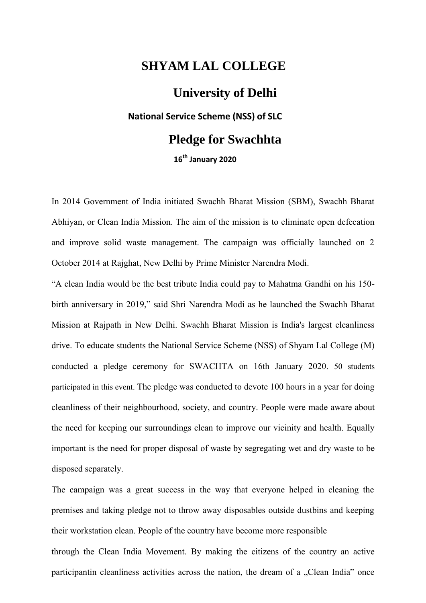## **SHYAM LAL COLLEGE**

## **University of Delhi National Service Scheme (NSS) of SLC Pledge for Swachhta 16th January 2020**

In 2014 Government of India initiated Swachh Bharat Mission (SBM), Swachh Bharat Abhiyan, or Clean India Mission. The aim of the mission is to eliminate open defecation and improve solid waste management. The campaign was officially launched on 2 October 2014 at Rajghat, New Delhi by Prime Minister Narendra Modi.

"A clean India would be the best tribute India could pay to Mahatma Gandhi on his 150 birth anniversary in 2019," said Shri Narendra Modi as he launched the Swachh Bharat Mission at Rajpath in New Delhi. Swachh Bharat Mission is India's largest cleanliness drive. To educate students the National Service Scheme (NSS) of Shyam Lal College (M) conducted a pledge ceremony for SWACHTA on 16th January 2020. 50 students participated in this event. The pledge was conducted to devote 100 hours in a year for doing cleanliness of their neighbourhood, society, and country. People were made aware about the need for keeping our surroundings clean to improve our vicinity and health. Equally important is the need for proper disposal of waste by segregating wet and dry waste to be disposed separately.

The campaign was a great success in the way that everyone helped in cleaning the premises and taking pledge not to throw away disposables outside dustbins and keeping their workstation clean. People of the country have become more responsible

through the Clean India Movement. By making the citizens of the country an active participantin cleanliness activities across the nation, the dream of a "Clean India" once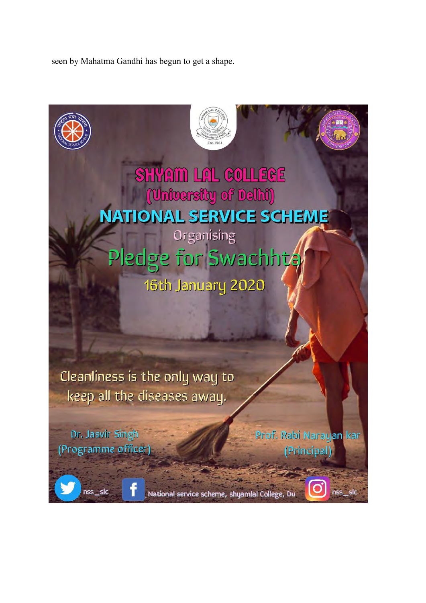seen by Mahatma Gandhi has begun to get a shape.